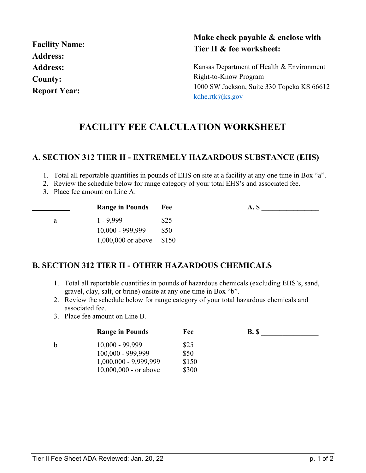| <b>Facility Name:</b> |
|-----------------------|
| <b>Address:</b>       |
| <b>Address:</b>       |
| County:               |
| <b>Report Year:</b>   |

### **Make check payable & enclose with Tier II & fee worksheet:**

Kansas Department of Health & Environment Right-to-Know Program 1000 SW Jackson, Suite 330 Topeka KS 66612 [kdhe.rtk@ks.gov](mailto:kdhe.rtk@ks.gov)

# **FACILITY FEE CALCULATION WORKSHEET**

### **A. SECTION 312 TIER II - EXTREMELY HAZARDOUS SUBSTANCE (EHS)**

1. Total all reportable quantities in pounds of EHS on site at a facility at any one time in Box "a".

- 2. Review the schedule below for range category of your total EHS's and associated fee.
- 3. Place fee amount on Line A.

|   | <b>Range in Pounds</b>     | Fee  | A. S |  |
|---|----------------------------|------|------|--|
| a | $1 - 9.999$                | \$25 |      |  |
|   | $10,000 - 999,999$         | \$50 |      |  |
|   | $1,000,000$ or above \$150 |      |      |  |

### **B. SECTION 312 TIER II - OTHER HAZARDOUS CHEMICALS**

- 1. Total all reportable quantities in pounds of hazardous chemicals (excluding EHS's, sand, gravel, clay, salt, or brine) onsite at any one time in Box "b".
- 2. Review the schedule below for range category of your total hazardous chemicals and associated fee.
- 3. Place fee amount on Line B.

|   | <b>Range in Pounds</b>  | Fee   | <b>B.</b> \$ |  |
|---|-------------------------|-------|--------------|--|
| b | $10,000 - 99,999$       | \$25  |              |  |
|   | $100,000 - 999,999$     | \$50  |              |  |
|   | $1,000,000 - 9,999,999$ | \$150 |              |  |
|   | $10,000,000$ - or above | \$300 |              |  |